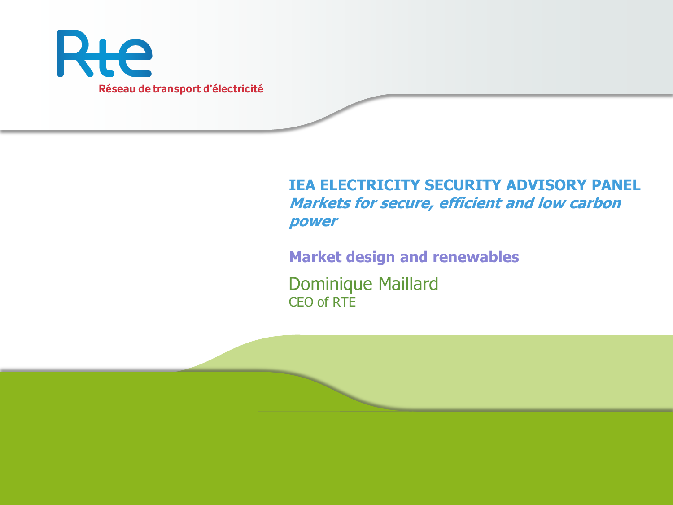

#### **IEA ELECTRICITY SECURITY ADVISORY PANEL Markets for secure, efficient and low carbon power**

**Market design and renewables**

Dominique Maillard CEO of RTE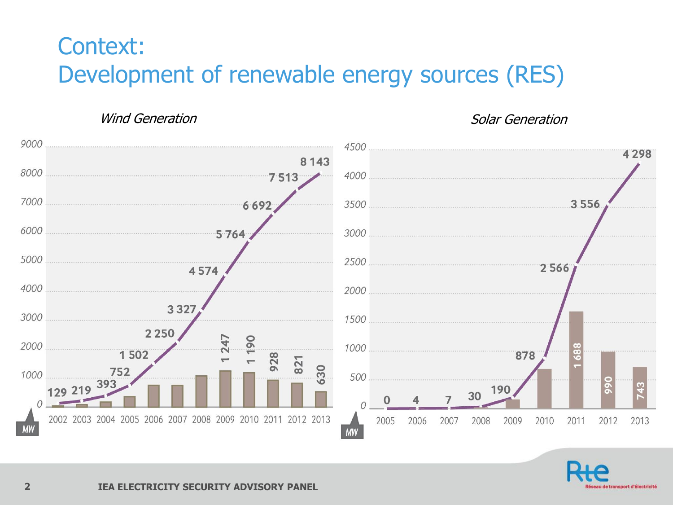# Context: Development of renewable energy sources (RES)

Wind Generation Number of the Solar Generation



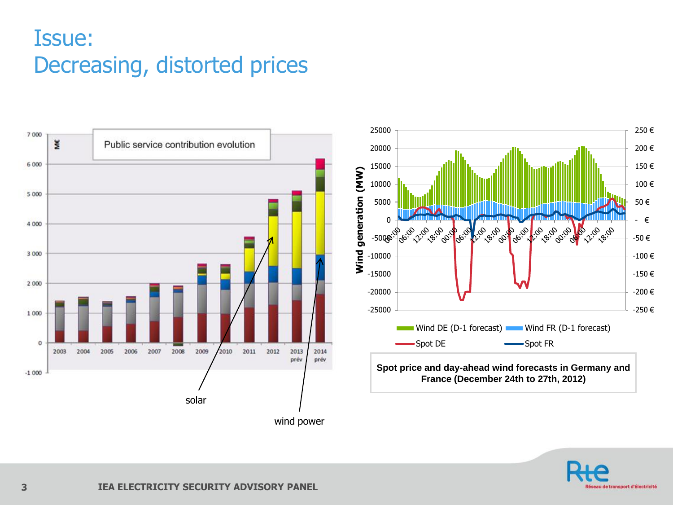### Issue: Decreasing, distorted prices



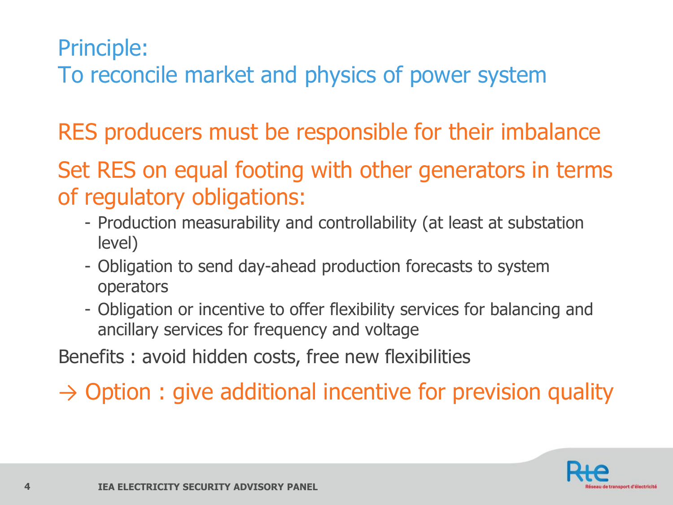### Principle:

To reconcile market and physics of power system

RES producers must be responsible for their imbalance

Set RES on equal footing with other generators in terms of regulatory obligations:

- Production measurability and controllability (at least at substation level)
- Obligation to send day-ahead production forecasts to system operators
- Obligation or incentive to offer flexibility services for balancing and ancillary services for frequency and voltage

Benefits : avoid hidden costs, free new flexibilities

 $\rightarrow$  Option : give additional incentive for prevision quality

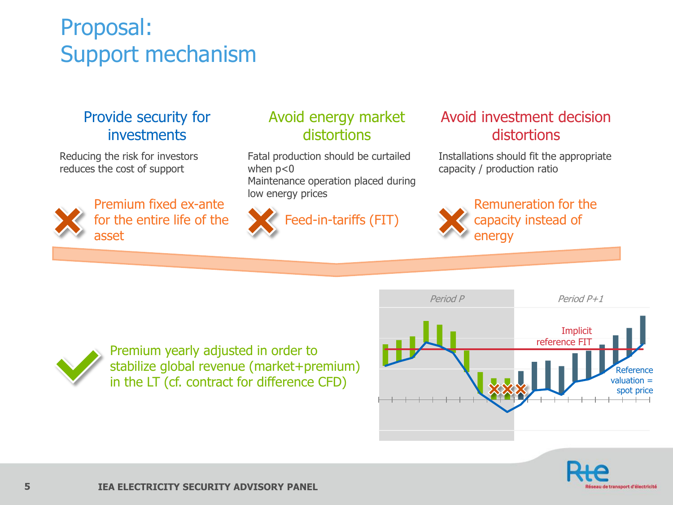# Proposal: Support mechanism

#### Provide security for investments

Reducing the risk for investors reduces the cost of support



Premium fixed ex-ante for the entire life of the asset

#### Avoid energy market distortions

Fatal production should be curtailed when  $p<0$ Maintenance operation placed during low energy prices



eed-in-tariffs (FIT)

#### Avoid investment decision distortions

Installations should fit the appropriate capacity / production ratio



Remuneration for the capacity instead of energy



stabilize global revenue (market+premium) in the LT (cf. contract for difference CFD)